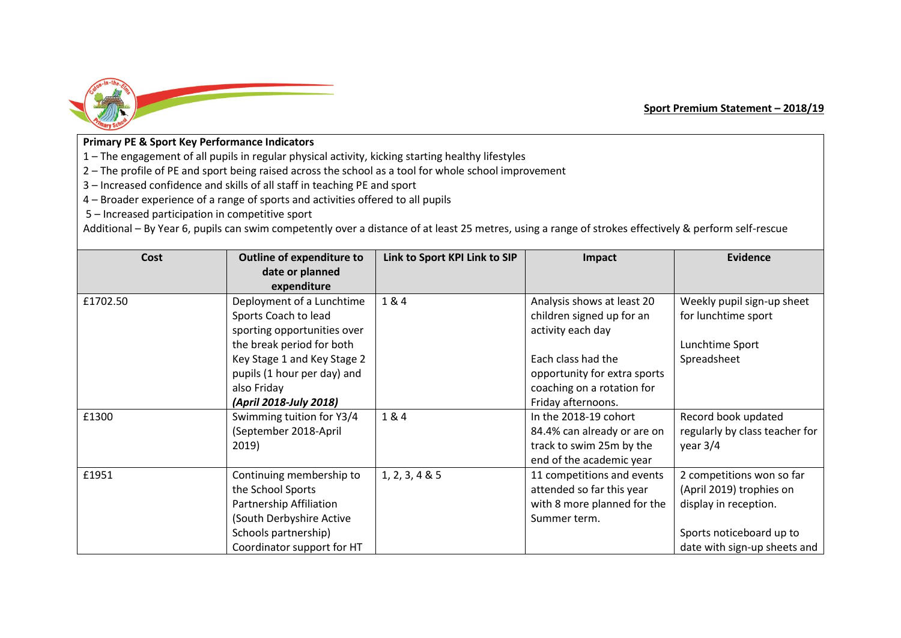

## **Primary PE & Sport Key Performance Indicators**

1 – The engagement of all pupils in regular physical activity, kicking starting healthy lifestyles

2 – The profile of PE and sport being raised across the school as a tool for whole school improvement

3 – Increased confidence and skills of all staff in teaching PE and sport

4 – Broader experience of a range of sports and activities offered to all pupils

5 – Increased participation in competitive sport

Additional – By Year 6, pupils can swim competently over a distance of at least 25 metres, using a range of strokes effectively & perform self-rescue

| Cost     | <b>Outline of expenditure to</b>                                                                                                                                                           | Link to Sport KPI Link to SIP | Impact                                                                                                                                                           | <b>Evidence</b>                                                                                                                            |
|----------|--------------------------------------------------------------------------------------------------------------------------------------------------------------------------------------------|-------------------------------|------------------------------------------------------------------------------------------------------------------------------------------------------------------|--------------------------------------------------------------------------------------------------------------------------------------------|
|          | date or planned<br>expenditure                                                                                                                                                             |                               |                                                                                                                                                                  |                                                                                                                                            |
| £1702.50 | Deployment of a Lunchtime<br>Sports Coach to lead<br>sporting opportunities over<br>the break period for both<br>Key Stage 1 and Key Stage 2<br>pupils (1 hour per day) and<br>also Friday | 1&4                           | Analysis shows at least 20<br>children signed up for an<br>activity each day<br>Each class had the<br>opportunity for extra sports<br>coaching on a rotation for | Weekly pupil sign-up sheet<br>for lunchtime sport<br>Lunchtime Sport<br>Spreadsheet                                                        |
|          | (April 2018-July 2018)                                                                                                                                                                     |                               | Friday afternoons.                                                                                                                                               |                                                                                                                                            |
| £1300    | Swimming tuition for Y3/4<br>(September 2018-April<br>2019)                                                                                                                                | 1&4                           | In the 2018-19 cohort<br>84.4% can already or are on<br>track to swim 25m by the<br>end of the academic year                                                     | Record book updated<br>regularly by class teacher for<br>year $3/4$                                                                        |
| £1951    | Continuing membership to<br>the School Sports<br>Partnership Affiliation<br>(South Derbyshire Active<br>Schools partnership)<br>Coordinator support for HT                                 | 1, 2, 3, 4 & 5                | 11 competitions and events<br>attended so far this year<br>with 8 more planned for the<br>Summer term.                                                           | 2 competitions won so far<br>(April 2019) trophies on<br>display in reception.<br>Sports noticeboard up to<br>date with sign-up sheets and |